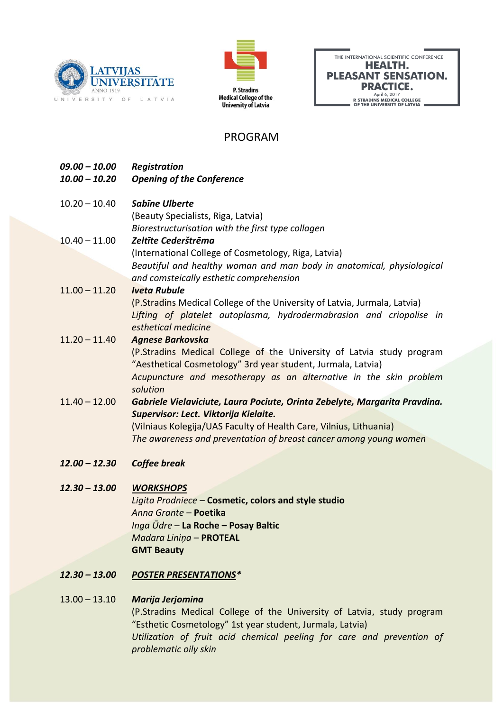



| THE INTERNATIONAL SCIENTIFIC CONFERENCE                    |
|------------------------------------------------------------|
| HEALTH.                                                    |
| <b>PLEASANT SENSATION.</b>                                 |
| <b>PRACTICE.</b>                                           |
| April 6, 2017                                              |
| P. STRADINS MEDICAL COLLEGE<br>OF THE UNIVERSITY OF LATVIA |

# PROGRAM

*09.00 – 10.00 Registration 10.00 – 10.20 Opening of the Conference* 10.20 – 10.40 *Sabīne Ulberte* (Beauty Specialists, Riga, Latvia) *Biorestructurisation with the first type collagen*  10.40 – 11.00 *Zeltīte Cederštrēma* (International College of Cosmetology, Riga, Latvia) *Beautiful and healthy woman and man body in anatomical, physiological and comsteically esthetic comprehension*  11.00 – 11.20 *Iveta Rubule* (P.Stradins Medical College of the University of Latvia, Jurmala, Latvia) *Lifting of platelet autoplasma, hydrodermabrasion and criopolise in esthetical medicine* 11.20 – 11.40 *Agnese Barkovska* (P.Stradins Medical College of the University of Latvia study program "Aesthetical Cosmetology" 3rd year student, Jurmala, Latvia) *Acupuncture and mesotherapy as an alternative in the skin problem solution*  11.40 – 12.00 *Gabriele Vielaviciute, Laura Pociute, Orinta Zebelyte, Margarita Pravdina. Supervisor: Lect. Viktorija Kielaite.*  (Vilniaus Kolegija/UAS Faculty of Health Care, Vilnius, Lithuania) *The awareness and preventation of breast cancer among young women 12.00 – 12.30 Coffee break*

## *12.30 – 13.00 WORKSHOPS*

*Ligita Prodniece* – **Cosmetic, colors and style studio** *Anna Grante* – **Poetika** *Inga Ūdre* – **La Roche – Posay Baltic** *Madara Liniņa* – **PROTEAL GMT Beauty**

*12.30 – 13.00 POSTER PRESENTATIONS\**

## 13.00 – 13.10 *Marija Jerjomina*

(P.Stradins Medical College of the University of Latvia, study program "Esthetic Cosmetology" 1st year student, Jurmala, Latvia) *Utilization of fruit acid chemical peeling for care and prevention of problematic oily skin*